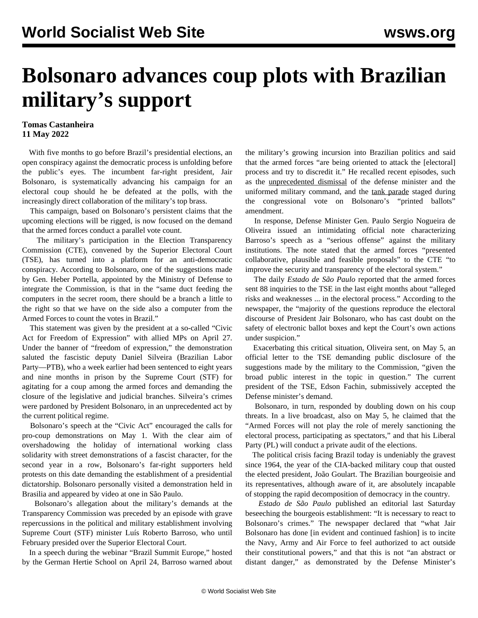## **Bolsonaro advances coup plots with Brazilian military's support**

## **Tomas Castanheira 11 May 2022**

 With five months to go before Brazil's presidential elections, an open conspiracy against the democratic process is unfolding before the public's eyes. The incumbent far-right president, Jair Bolsonaro, is systematically advancing his campaign for an electoral coup should he be defeated at the polls, with the increasingly direct collaboration of the military's top brass.

 This campaign, based on Bolsonaro's persistent claims that the upcoming elections will be rigged, is now focused on the demand that the armed forces conduct a parallel vote count.

 The military's participation in the Election Transparency Commission (CTE), convened by the Superior Electoral Court (TSE), has turned into a platform for an anti-democratic conspiracy. According to Bolsonaro, one of the suggestions made by Gen. Heber Portella, appointed by the Ministry of Defense to integrate the Commission, is that in the "same duct feeding the computers in the secret room, there should be a branch a little to the right so that we have on the side also a computer from the Armed Forces to count the votes in Brazil."

 This statement was given by the president at a so-called "Civic Act for Freedom of Expression" with allied MPs on April 27. Under the banner of "freedom of expression," the demonstration saluted the fascistic deputy Daniel Silveira (Brazilian Labor Party—PTB), who a week earlier had been sentenced to eight years and nine months in prison by the Supreme Court (STF) for agitating for a coup among the armed forces and demanding the closure of the legislative and judicial branches. Silveira's crimes were pardoned by President Bolsonaro, in an unprecedented act by the current political regime.

 Bolsonaro's speech at the "Civic Act" encouraged the calls for pro-coup demonstrations on May 1. With the clear aim of overshadowing the holiday of international working class solidarity with street demonstrations of a fascist character, for the second year in a row, Bolsonaro's far-right supporters held protests on this date demanding the establishment of a presidential dictatorship. Bolsonaro personally visited a demonstration held in Brasilia and appeared by video at one in São Paulo.

 Bolsonaro's allegation about the military's demands at the Transparency Commission was preceded by an episode with grave repercussions in the political and military establishment involving Supreme Court (STF) minister Luís Roberto Barroso, who until February presided over the Superior Electoral Court.

 In a speech during the webinar "Brazil Summit Europe," hosted by the German Hertie School on April 24, Barroso warned about the military's growing incursion into Brazilian politics and said that the armed forces "are being oriented to attack the [electoral] process and try to discredit it." He recalled recent episodes, such as the [unprecedented dismissal](/en/articles/2021/04/01/braz-a01.html) of the defense minister and the uniformed military command, and the [tank parade](/en/articles/2021/08/14/braz-a14.html) staged during the congressional vote on Bolsonaro's "printed ballots" amendment.

 In response, Defense Minister Gen. Paulo Sergio Nogueira de Oliveira issued an intimidating official note characterizing Barroso's speech as a "serious offense" against the military institutions. The note stated that the armed forces "presented collaborative, plausible and feasible proposals" to the CTE "to improve the security and transparency of the electoral system."

 The daily *Estado de São Paulo* reported that the armed forces sent 88 inquiries to the TSE in the last eight months about "alleged risks and weaknesses ... in the electoral process." According to the newspaper, the "majority of the questions reproduce the electoral discourse of President Jair Bolsonaro, who has cast doubt on the safety of electronic ballot boxes and kept the Court's own actions under suspicion."

 Exacerbating this critical situation, Oliveira sent, on May 5, an official letter to the TSE demanding public disclosure of the suggestions made by the military to the Commission, "given the broad public interest in the topic in question." The current president of the TSE, Edson Fachin, submissively accepted the Defense minister's demand.

 Bolsonaro, in turn, responded by doubling down on his coup threats. In a live broadcast, also on May 5, he claimed that the "Armed Forces will not play the role of merely sanctioning the electoral process, participating as spectators," and that his Liberal Party (PL) will conduct a private audit of the elections.

 The political crisis facing Brazil today is undeniably the gravest since 1964, the year of the CIA-backed military coup that ousted the elected president, João Goulart. The Brazilian bourgeoisie and its representatives, although aware of it, are absolutely incapable of stopping the rapid decomposition of democracy in the country.

 *Estado de São Paulo* published an editorial last Saturday beseeching the bourgeois establishment: "It is necessary to react to Bolsonaro's crimes." The newspaper declared that "what Jair Bolsonaro has done [in evident and continued fashion] is to incite the Navy, Army and Air Force to feel authorized to act outside their constitutional powers," and that this is not "an abstract or distant danger," as demonstrated by the Defense Minister's